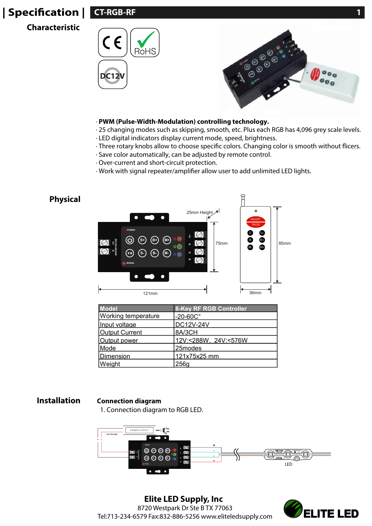# **| Specification |**

**Characteristic**





#### · **PWM (Pulse-Width-Modulation) controlling technology.**

- · 25 changing modes such as skipping, smooth, etc. Plus each RGB has 4,096 grey scale levels.
- · LED digital indicators display current mode, speed, brightness.
- · Three rotary knobs allow to choose specific colors. Changing color is smooth without flicers.
- · Save color automatically, can be adjusted by remote control.
- · Over-current and short-circuit protection.
- · Work with signal repeater/amplifier allow user to add unlimited LED lights.



| <b>Model</b>               | <b>8-Key RF RGB Controller</b> |  |  |
|----------------------------|--------------------------------|--|--|
| <b>Working temperature</b> | $-20-60C$ °                    |  |  |
| Input voltage              | <b>DC12V-24V</b>               |  |  |
| <b>Output Current</b>      | 8A/3CH                         |  |  |
| Output power               | 12V:<288W, 24V:<576W           |  |  |
| Mode                       | 25modes                        |  |  |
| Dimension                  | 121x75x25 mm                   |  |  |
| <b>Weight</b>              | 256g                           |  |  |

#### **Installation Connection diagram**

1. Connection diagram to RGB LED.



**Elite LED Supply, Inc** 8720 Westpark Dr Ste B TX 77063 Tel:713-234-6579 Fax:832-886-5256 www.eliteledsupply.com

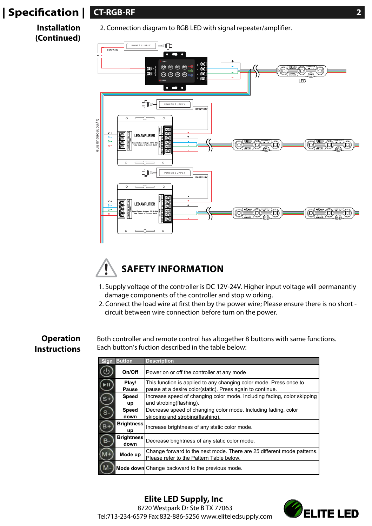# **| Specication | CT-RGB-RF 2**

**Installation (Continued)**

2. Connection diagram to RGB LED with signal repeater/amplifier.





- 1. Supply voltage of the controller is DC 12V-24V. Higher input voltage will permanantly damage components of the controller and stop w orking.
- 2. Connect the load wire at first then by the power wire; Please ensure there is no short circuit between wire connection before turn on the power.

### **Operation Instructions**

Both controller and remote control has altogether 8 buttons with same functions. Each button's fuction described in the table below:

| <b>Sign</b> | <b>Button</b>                                   | <b>Description</b>                                                      |  |
|-------------|-------------------------------------------------|-------------------------------------------------------------------------|--|
|             | On/Off                                          | Power on or off the controller at any mode                              |  |
|             | Play/                                           | This function is applied to any changing color mode. Press once to      |  |
|             | Pause                                           | pause at a desire color(static). Press again to continue.               |  |
|             | <b>Speed</b>                                    | Increase speed of changing color mode. Including fading, color skipping |  |
|             | up                                              | and strobing (flashing).                                                |  |
|             | <b>Speed</b>                                    | Decrease speed of changing color mode. Including fading, color          |  |
|             | down                                            | skipping and strobing (flashing).                                       |  |
| B+          | <b>Brightness</b><br>up                         | Increase brightness of any static color mode.                           |  |
| в.          | <b>Brightness</b><br>down                       | Decrease brightness of any static color mode.                           |  |
|             | Mode up                                         | Change forward to the next mode. There are 25 different mode patterns.  |  |
|             |                                                 | Please refer to the Pattern Table below.                                |  |
|             | Mode down Change backward to the previous mode. |                                                                         |  |

**Elite LED Supply, Inc** 8720 Westpark Dr Ste B TX 77063 Tel:713-234-6579 Fax:832-886-5256 www.eliteledsupply.com